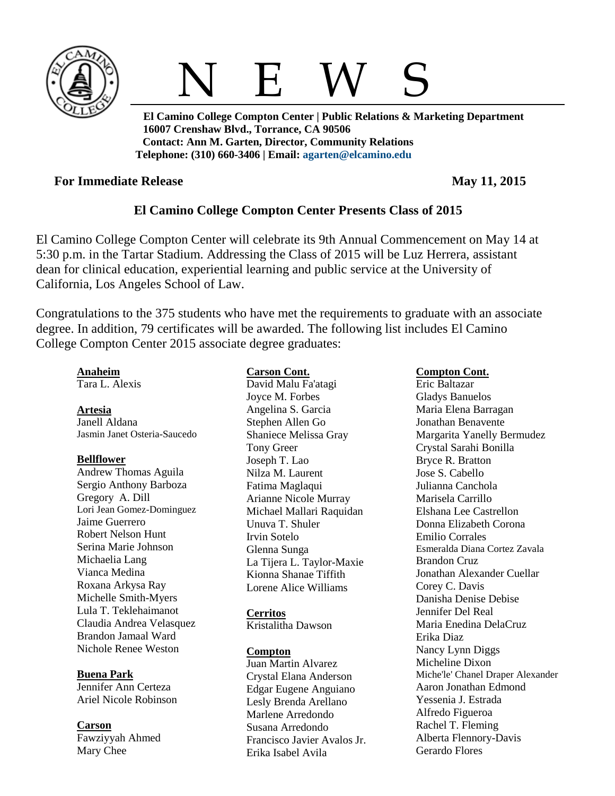



 **El Camino College Compton Center | Public Relations & Marketing Department 16007 Crenshaw Blvd., Torrance, CA 90506 Contact: Ann M. Garten, Director, Community Relations Telephone: (310) 660-3406 | Email: [agarten@elcamino.edu](mailto:agarten@elcamino.edu)** 

## **For Immediate Release May 11, 2015**

# **El Camino College Compton Center Presents Class of 2015**

El Camino College Compton Center will celebrate its 9th Annual Commencement on May 14 at 5:30 p.m. in the Tartar Stadium. Addressing the Class of 2015 will be Luz Herrera, assistant dean for clinical education, experiential learning and public service at the University of California, Los Angeles School of Law.

Congratulations to the 375 students who have met the requirements to graduate with an associate degree. In addition, 79 certificates will be awarded. The following list includes El Camino College Compton Center 2015 associate degree graduates:

## **Anaheim**

Tara L. Alexis

## **Artesia**

Janell Aldana Jasmin Janet Osteria-Saucedo

## **Bellflower**

Andrew Thomas Aguila Sergio Anthony Barboza Gregory A. Dill Lori Jean Gomez-Dominguez Jaime Guerrero Robert Nelson Hunt Serina Marie Johnson Michaelia Lang Vianca Medina Roxana Arkysa Ray Michelle Smith-Myers Lula T. Teklehaimanot Claudia Andrea Velasquez Brandon Jamaal Ward Nichole Renee Weston

## **Buena Park**

Jennifer Ann Certeza Ariel Nicole Robinson

**Carson** Fawziyyah Ahmed Mary Chee

## **Carson Cont.**

David Malu Fa'atagi Joyce M. Forbes Angelina S. Garcia Stephen Allen Go Shaniece Melissa Gray Tony Greer Joseph T. Lao Nilza M. Laurent Fatima Maglaqui Arianne Nicole Murray Michael Mallari Raquidan Unuva T. Shuler Irvin Sotelo Glenna Sunga La Tijera L. Taylor-Maxie Kionna Shanae Tiffith Lorene Alice Williams

## **Cerritos**

Kristalitha Dawson

## **Compton**

Juan Martin Alvarez Crystal Elana Anderson Edgar Eugene Anguiano Lesly Brenda Arellano Marlene Arredondo Susana Arredondo Francisco Javier Avalos Jr. Erika Isabel Avila

## **Compton Cont.**

Eric Baltazar Gladys Banuelos Maria Elena Barragan Jonathan Benavente Margarita Yanelly Bermudez Crystal Sarahi Bonilla Bryce R. Bratton Jose S. Cabello Julianna Canchola Marisela Carrillo Elshana Lee Castrellon Donna Elizabeth Corona Emilio Corrales Esmeralda Diana Cortez Zavala Brandon Cruz Jonathan Alexander Cuellar Corey C. Davis Danisha Denise Debise Jennifer Del Real Maria Enedina DelaCruz Erika Diaz Nancy Lynn Diggs Micheline Dixon Miche'le' Chanel Draper Alexander Aaron Jonathan Edmond Yessenia J. Estrada Alfredo Figueroa Rachel T. Fleming Alberta Flennory-Davis Gerardo Flores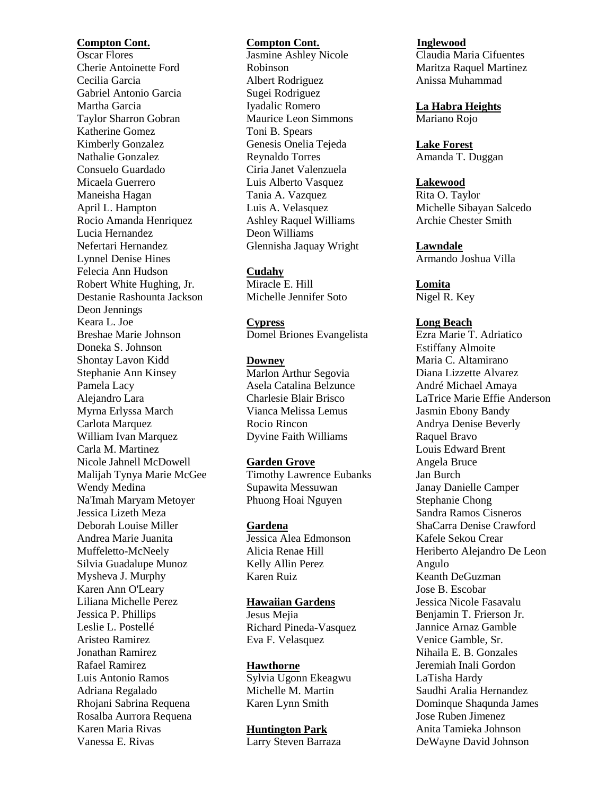## **Compton Cont.**

Oscar Flores Cherie Antoinette Ford Cecilia Garcia Gabriel Antonio Garcia Martha Garcia Taylor Sharron Gobran Katherine Gomez Kimberly Gonzalez Nathalie Gonzalez Consuelo Guardado Micaela Guerrero Maneisha Hagan April L. Hampton Rocio Amanda Henriquez Lucia Hernandez Nefertari Hernandez Lynnel Denise Hines Felecia Ann Hudson Robert White Hughing, Jr. Destanie Rashounta Jackson Deon Jennings Keara L. Joe Breshae Marie Johnson Doneka S. Johnson Shontay Lavon Kidd Stephanie Ann Kinsey Pamela Lacy Alejandro Lara Myrna Erlyssa March Carlota Marquez William Ivan Marquez Carla M. Martinez Nicole Jahnell McDowell Malijah Tynya Marie McGee Wendy Medina Na'Imah Maryam Metoyer Jessica Lizeth Meza Deborah Louise Miller Andrea Marie Juanita Muffeletto-McNeely Silvia Guadalupe Munoz Mysheva J. Murphy Karen Ann O'Leary Liliana Michelle Perez Jessica P. Phillips Leslie L. Postellé Aristeo Ramirez Jonathan Ramirez Rafael Ramirez Luis Antonio Ramos Adriana Regalado Rhojani Sabrina Requena Rosalba Aurrora Requena Karen Maria Rivas Vanessa E. Rivas

## **Compton Cont.**

Jasmine Ashley Nicole Robinson Albert Rodriguez Sugei Rodriguez Iyadalic Romero Maurice Leon Simmons Toni B. Spears Genesis Onelia Tejeda Reynaldo Torres Ciria Janet Valenzuela Luis Alberto Vasquez Tania A. Vazquez Luis A. Velasquez Ashley Raquel Williams Deon Williams Glennisha Jaquay Wright

### **Cudahy**

Miracle E. Hill Michelle Jennifer Soto

**Cypress** Domel Briones Evangelista

**Downey**

Marlon Arthur Segovia Asela Catalina Belzunce Charlesie Blair Brisco Vianca Melissa Lemus Rocio Rincon Dyvine Faith Williams

**Garden Grove** 

Timothy Lawrence Eubanks Supawita Messuwan Phuong Hoai Nguyen

**Gardena**

Jessica Alea Edmonson Alicia Renae Hill Kelly Allin Perez Karen Ruiz

### **Hawaiian Gardens**

Jesus Mejia Richard Pineda-Vasquez Eva F. Velasquez

#### **Hawthorne**

Sylvia Ugonn Ekeagwu Michelle M. Martin Karen Lynn Smith

## **Huntington Park**

Larry Steven Barraza

#### **Inglewood**

Claudia Maria Cifuentes Maritza Raquel Martinez Anissa Muhammad

**La Habra Heights** Mariano Rojo

**Lake Forest** Amanda T. Duggan

## **Lakewood**

Rita O. Taylor Michelle Sibayan Salcedo Archie Chester Smith

**Lawndale**  Armando Joshua Villa

**Lomita** Nigel R. Key

### **Long Beach**

Ezra Marie T. Adriatico Estiffany Almoite Maria C. Altamirano Diana Lizzette Alvarez André Michael Amaya LaTrice Marie Effie Anderson Jasmin Ebony Bandy Andrya Denise Beverly Raquel Bravo Louis Edward Brent Angela Bruce Jan Burch Janay Danielle Camper Stephanie Chong Sandra Ramos Cisneros ShaCarra Denise Crawford Kafele Sekou Crear Heriberto Alejandro De Leon Angulo Keanth DeGuzman Jose B. Escobar Jessica Nicole Fasavalu Benjamin T. Frierson Jr. Jannice Arnaz Gamble Venice Gamble, Sr. Nihaila E. B. Gonzales Jeremiah Inali Gordon LaTisha Hardy Saudhi Aralia Hernandez Dominque Shaqunda James Jose Ruben Jimenez Anita Tamieka Johnson DeWayne David Johnson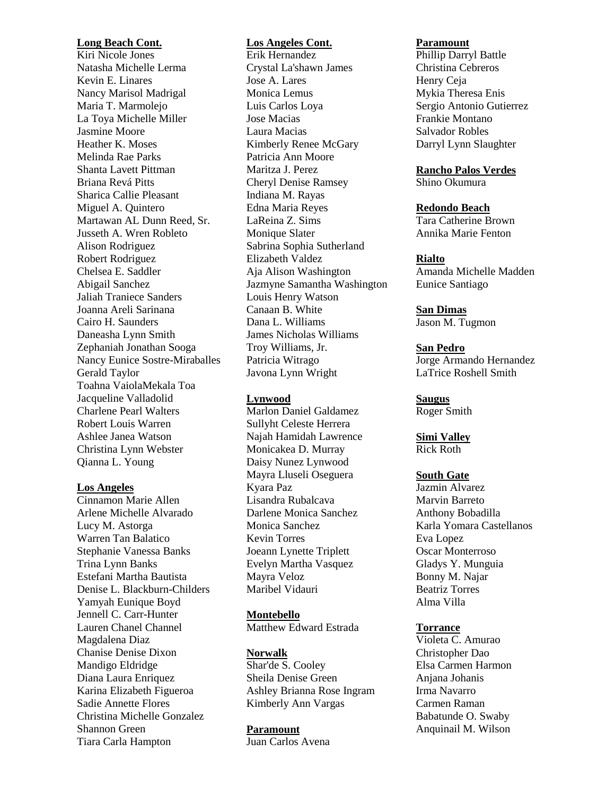#### **Long Beach Cont.**

Kiri Nicole Jones Natasha Michelle Lerma Kevin E. Linares Nancy Marisol Madrigal Maria T. Marmolejo La Toya Michelle Miller Jasmine Moore Heather K. Moses Melinda Rae Parks Shanta Lavett Pittman Briana Revá Pitts Sharica Callie Pleasant Miguel A. Quintero Martawan AL Dunn Reed, Sr. Jusseth A. Wren Robleto Alison Rodriguez Robert Rodriguez Chelsea E. Saddler Abigail Sanchez Jaliah Traniece Sanders Joanna Areli Sarinana Cairo H. Saunders Daneasha Lynn Smith Zephaniah Jonathan Sooga Nancy Eunice Sostre-Miraballes Gerald Taylor Toahna VaiolaMekala Toa Jacqueline Valladolid Charlene Pearl Walters Robert Louis Warren Ashlee Janea Watson Christina Lynn Webster Qianna L. Young

#### **Los Angeles**

Cinnamon Marie Allen Arlene Michelle Alvarado Lucy M. Astorga Warren Tan Balatico Stephanie Vanessa Banks Trina Lynn Banks Estefani Martha Bautista Denise L. Blackburn-Childers Yamyah Eunique Boyd Jennell C. Carr-Hunter Lauren Chanel Channel Magdalena Diaz Chanise Denise Dixon Mandigo Eldridge Diana Laura Enriquez Karina Elizabeth Figueroa Sadie Annette Flores Christina Michelle Gonzalez Shannon Green Tiara Carla Hampton

### **Los Angeles Cont.**

Erik Hernandez Crystal La'shawn James Jose A. Lares Monica Lemus Luis Carlos Loya Jose Macias Laura Macias Kimberly Renee McGary Patricia Ann Moore Maritza J. Perez Cheryl Denise Ramsey Indiana M. Rayas Edna Maria Reyes LaReina Z. Sims Monique Slater Sabrina Sophia Sutherland Elizabeth Valdez Aja Alison Washington Jazmyne Samantha Washington Louis Henry Watson Canaan B. White Dana L. Williams James Nicholas Williams Troy Williams, Jr. Patricia Witrago Javona Lynn Wright

## **Lynwood**

Marlon Daniel Galdamez Sullyht Celeste Herrera Najah Hamidah Lawrence Monicakea D. Murray Daisy Nunez Lynwood Mayra Lluseli Oseguera Kyara Paz Lisandra Rubalcava Darlene Monica Sanchez Monica Sanchez Kevin Torres Joeann Lynette Triplett Evelyn Martha Vasquez Mayra Veloz Maribel Vidauri

**Montebello**

Matthew Edward Estrada

## **Norwalk**

Shar'de S. Cooley Sheila Denise Green Ashley Brianna Rose Ingram Kimberly Ann Vargas

## **Paramount**

Juan Carlos Avena

#### **Paramount**

Phillip Darryl Battle Christina Cebreros Henry Ceja Mykia Theresa Enis Sergio Antonio Gutierrez Frankie Montano Salvador Robles Darryl Lynn Slaughter

### **Rancho Palos Verdes**

Shino Okumura

### **Redondo Beach**

Tara Catherine Brown Annika Marie Fenton

### **Rialto**

Amanda Michelle Madden Eunice Santiago

## **San Dimas**

Jason M. Tugmon

## **San Pedro**

Jorge Armando Hernandez LaTrice Roshell Smith

## **Saugus**

Roger Smith

## **Simi Valley**

Rick Roth

### **South Gate**

Jazmin Alvarez Marvin Barreto Anthony Bobadilla Karla Yomara Castellanos Eva Lopez Oscar Monterroso Gladys Y. Munguia Bonny M. Najar Beatriz Torres Alma Villa

#### **Torrance**

Violeta C. Amurao Christopher Dao Elsa Carmen Harmon Anjana Johanis Irma Navarro Carmen Raman Babatunde O. Swaby Anquinail M. Wilson